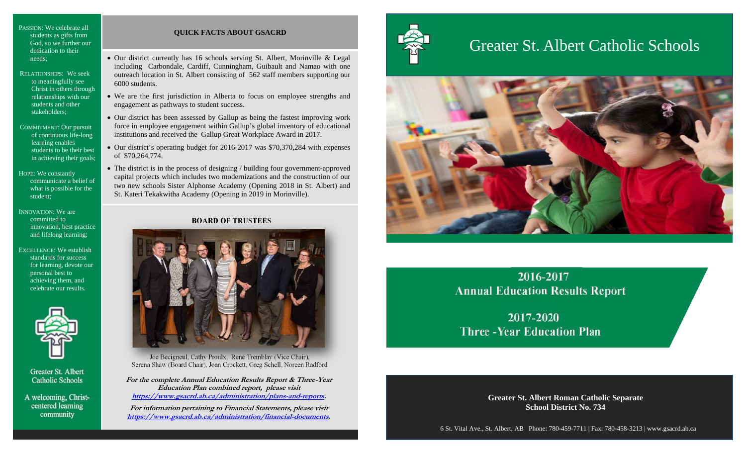PASSION: We celebrate all students as gifts from God, so we further our dedication to their needs;

RELATIONSHIPS: We seek to meaningfully see Christ in others through relationships with our students and other stakeholders;

COMMITMENT: Our pursuit of continuous life-long learning enables students to be their best in achieving their goals;

HOPE: We constantly communicate a belief of what is possible for the student;

INNOVATION: We are committed to innovation, best practice and lifelong learning;

EXCELLENCE: We establish standards for success for learning, devote our personal best to achieving them, and celebrate our results.



Greater St. Albert **Catholic Schools** 

A welcoming, Christcentered learning community

#### **QUICK FACTS ABOUT GSACRD**

- Our district currently has 16 schools serving St. Albert, Morinville & Legal including Carbondale, Cardiff, Cunningham, Guibault and Namao with one outreach location in St. Albert consisting of 562 staff members supporting our 6000 students.
- We are the first jurisdiction in Alberta to focus on employee strengths and engagement as pathways to student success.
- Our district has been assessed by Gallup as being the fastest improving work force in employee engagement within Gallup's global inventory of educational institutions and received the Gallup Great Workplace Award in 2017.
- Our district's operating budget for 2016-2017 was \$70,370,284 with expenses of \$70,264,774.

 The district is in the process of designing / building four government-approved capital projects which includes two modernizations and the construction of our two new schools Sister Alphonse Academy (Opening 2018 in St. Albert) and St. Kateri Tekakwitha Academy (Opening in 2019 in Morinville).

#### **BOARD OF TRUSTEES**



Joe Becigneul, Cathy Proulx, René Tremblay (Vice Chair), Serena Shaw (Board Chair), Joan Crockett, Greg Schell, Noreen Radford

**For the complete Annual Education Results Report & Three-Year Education Plan combined report, please visit https://www.gsacrd.ab.ca/administration/plans-and-reports.** 

**For information pertaining to Financial Statements, please visit https://www.gsacrd.ab.ca/administration/financial-documents.**



# Greater St. Albert Catholic Schools



### **2016-2017Annual Education Results Report**

**2017-2020Three -Year Education Plan**

> **Greater St. Albert Roman Catholic Separate School District No. 734**

6 St. Vital Ave., St. Albert, AB Phone: 780-459-7711 | Fax: 780-458-3213 | www.gsacrd.ab.ca